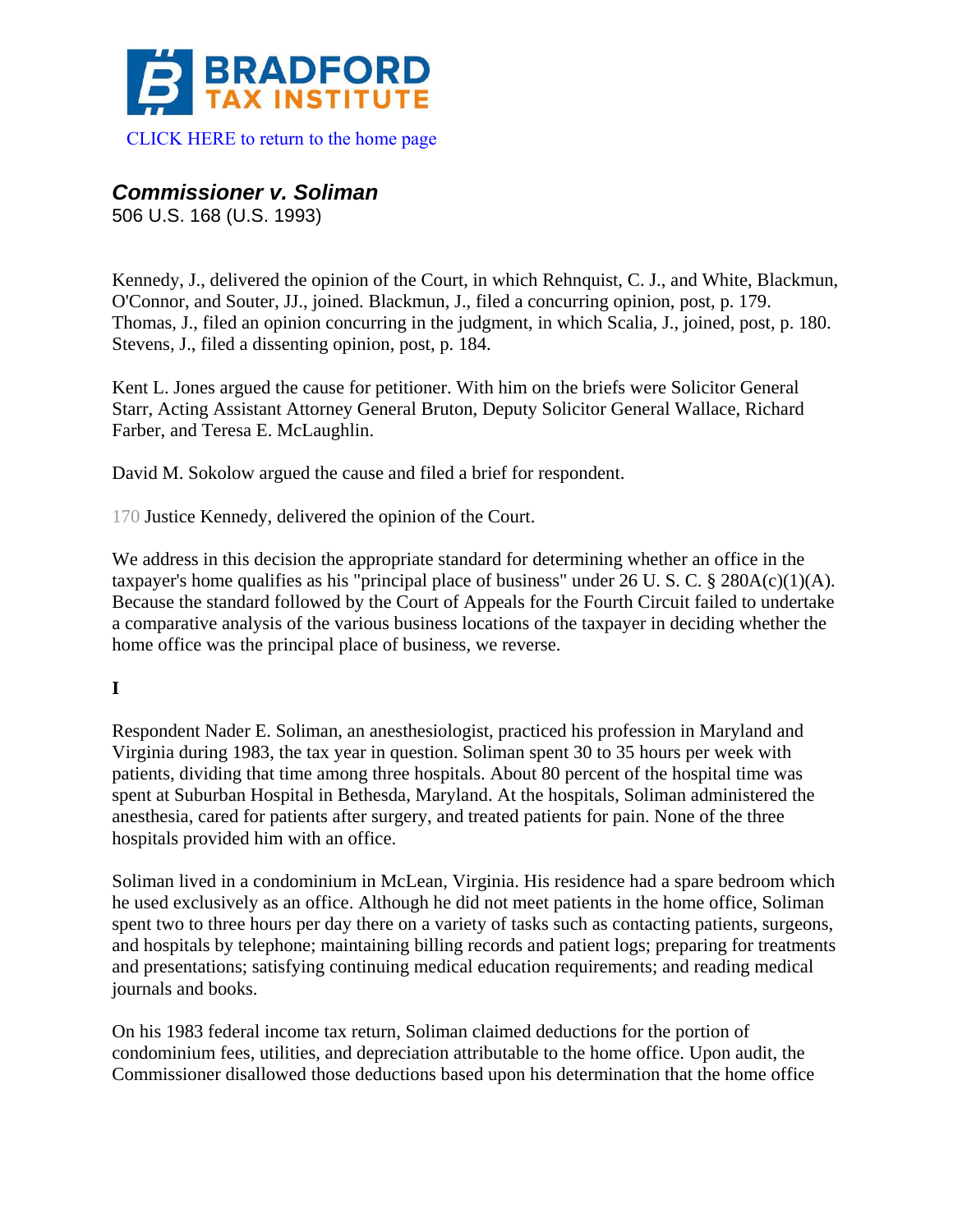

[CLICK HERE to return to the home page](http://www.bradfordtaxinstitute.com/) 

# *Commissioner v. Soliman*

506 U.S. 168 (U.S. 1993)

Kennedy, J., delivered the opinion of the Court, in which Rehnquist, C. J., and White, Blackmun, O'Connor, and Souter, JJ., joined. Blackmun, J., filed a concurring opinion, post, p. 179. Thomas, J., filed an opinion concurring in the judgment, in which Scalia, J., joined, post, p. 180. Stevens, J., filed a dissenting opinion, post, p. 184.

Kent L. Jones argued the cause for petitioner. With him on the briefs were Solicitor General Starr, Acting Assistant Attorney General Bruton, Deputy Solicitor General Wallace, Richard Farber, and Teresa E. McLaughlin.

David M. Sokolow argued the cause and filed a brief for respondent.

170 Justice Kennedy, delivered the opinion of the Court.

We address in this decision the appropriate standard for determining whether an office in the taxpayer's home qualifies as his "principal place of business" under 26 U. S. C. § 280A(c)(1)(A). Because the standard followed by the Court of Appeals for the Fourth Circuit failed to undertake a comparative analysis of the various business locations of the taxpayer in deciding whether the home office was the principal place of business, we reverse.

## **I**

Respondent Nader E. Soliman, an anesthesiologist, practiced his profession in Maryland and Virginia during 1983, the tax year in question. Soliman spent 30 to 35 hours per week with patients, dividing that time among three hospitals. About 80 percent of the hospital time was spent at Suburban Hospital in Bethesda, Maryland. At the hospitals, Soliman administered the anesthesia, cared for patients after surgery, and treated patients for pain. None of the three hospitals provided him with an office.

Soliman lived in a condominium in McLean, Virginia. His residence had a spare bedroom which he used exclusively as an office. Although he did not meet patients in the home office, Soliman spent two to three hours per day there on a variety of tasks such as contacting patients, surgeons, and hospitals by telephone; maintaining billing records and patient logs; preparing for treatments and presentations; satisfying continuing medical education requirements; and reading medical journals and books.

On his 1983 federal income tax return, Soliman claimed deductions for the portion of condominium fees, utilities, and depreciation attributable to the home office. Upon audit, the Commissioner disallowed those deductions based upon his determination that the home office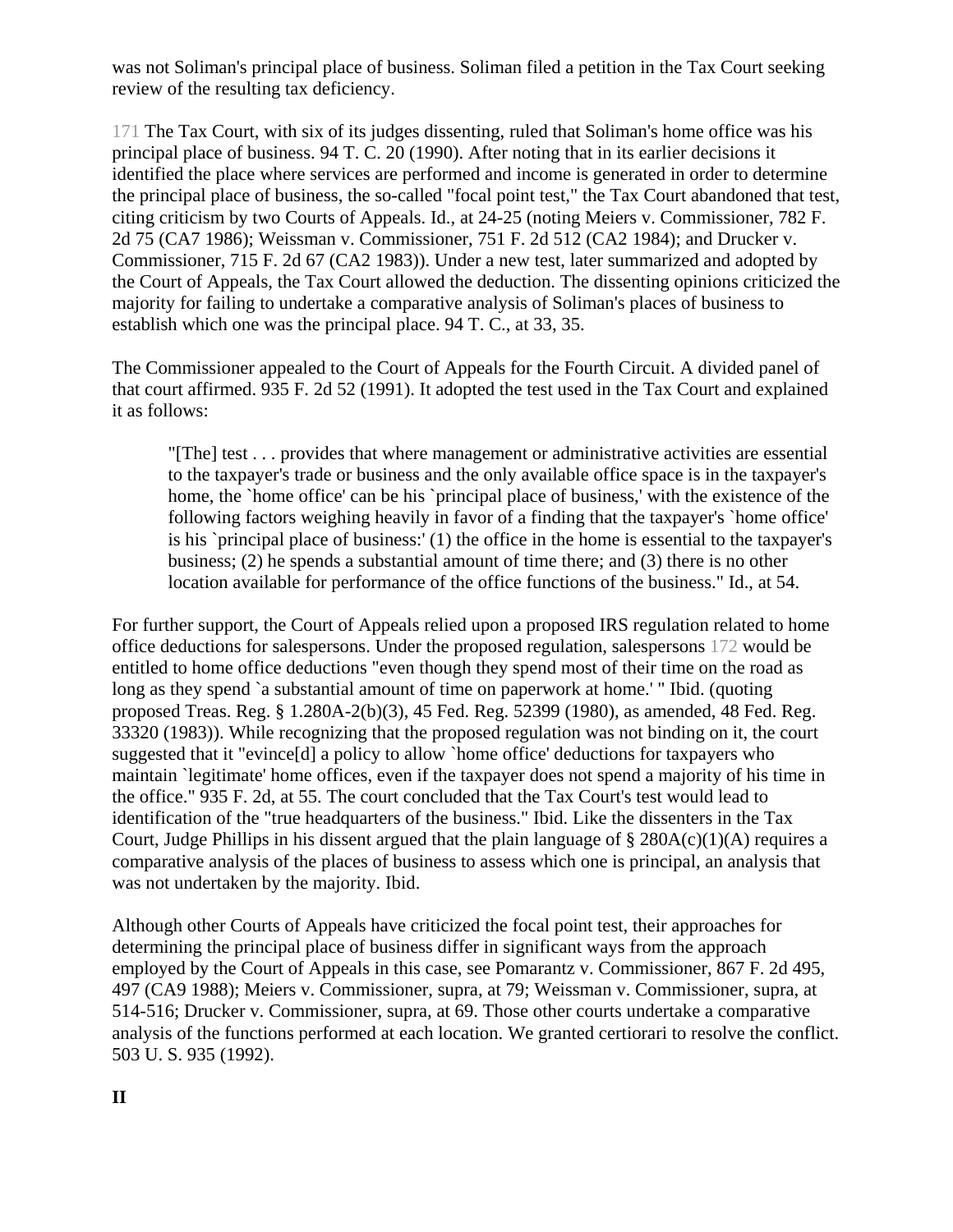was not Soliman's principal place of business. Soliman filed a petition in the Tax Court seeking review of the resulting tax deficiency.

171 The Tax Court, with six of its judges dissenting, ruled that Soliman's home office was his principal place of business. 94 T. C. 20 (1990). After noting that in its earlier decisions it identified the place where services are performed and income is generated in order to determine the principal place of business, the so-called "focal point test," the Tax Court abandoned that test, citing criticism by two Courts of Appeals. Id., at 24-25 (noting Meiers v. Commissioner, 782 F. 2d 75 (CA7 1986); Weissman v. Commissioner, 751 F. 2d 512 (CA2 1984); and Drucker v. Commissioner, 715 F. 2d 67 (CA2 1983)). Under a new test, later summarized and adopted by the Court of Appeals, the Tax Court allowed the deduction. The dissenting opinions criticized the majority for failing to undertake a comparative analysis of Soliman's places of business to establish which one was the principal place. 94 T. C., at 33, 35.

The Commissioner appealed to the Court of Appeals for the Fourth Circuit. A divided panel of that court affirmed. 935 F. 2d 52 (1991). It adopted the test used in the Tax Court and explained it as follows:

"[The] test . . . provides that where management or administrative activities are essential to the taxpayer's trade or business and the only available office space is in the taxpayer's home, the `home office' can be his `principal place of business,' with the existence of the following factors weighing heavily in favor of a finding that the taxpayer's `home office' is his `principal place of business:' (1) the office in the home is essential to the taxpayer's business; (2) he spends a substantial amount of time there; and (3) there is no other location available for performance of the office functions of the business." Id., at 54.

For further support, the Court of Appeals relied upon a proposed IRS regulation related to home office deductions for salespersons. Under the proposed regulation, salespersons 172 would be entitled to home office deductions "even though they spend most of their time on the road as long as they spend `a substantial amount of time on paperwork at home.' "Ibid. (quoting proposed Treas. Reg. § 1.280A-2(b)(3), 45 Fed. Reg. 52399 (1980), as amended, 48 Fed. Reg. 33320 (1983)). While recognizing that the proposed regulation was not binding on it, the court suggested that it "evince<sup>[d]</sup> a policy to allow `home office' deductions for taxpayers who maintain `legitimate' home offices, even if the taxpayer does not spend a majority of his time in the office." 935 F. 2d, at 55. The court concluded that the Tax Court's test would lead to identification of the "true headquarters of the business." Ibid. Like the dissenters in the Tax Court, Judge Phillips in his dissent argued that the plain language of  $\S 280A(c)(1)(A)$  requires a comparative analysis of the places of business to assess which one is principal, an analysis that was not undertaken by the majority. Ibid.

Although other Courts of Appeals have criticized the focal point test, their approaches for determining the principal place of business differ in significant ways from the approach employed by the Court of Appeals in this case, see Pomarantz v. Commissioner, 867 F. 2d 495, 497 (CA9 1988); Meiers v. Commissioner, supra, at 79; Weissman v. Commissioner, supra, at 514-516; Drucker v. Commissioner, supra, at 69. Those other courts undertake a comparative analysis of the functions performed at each location. We granted certiorari to resolve the conflict. 503 U. S. 935 (1992).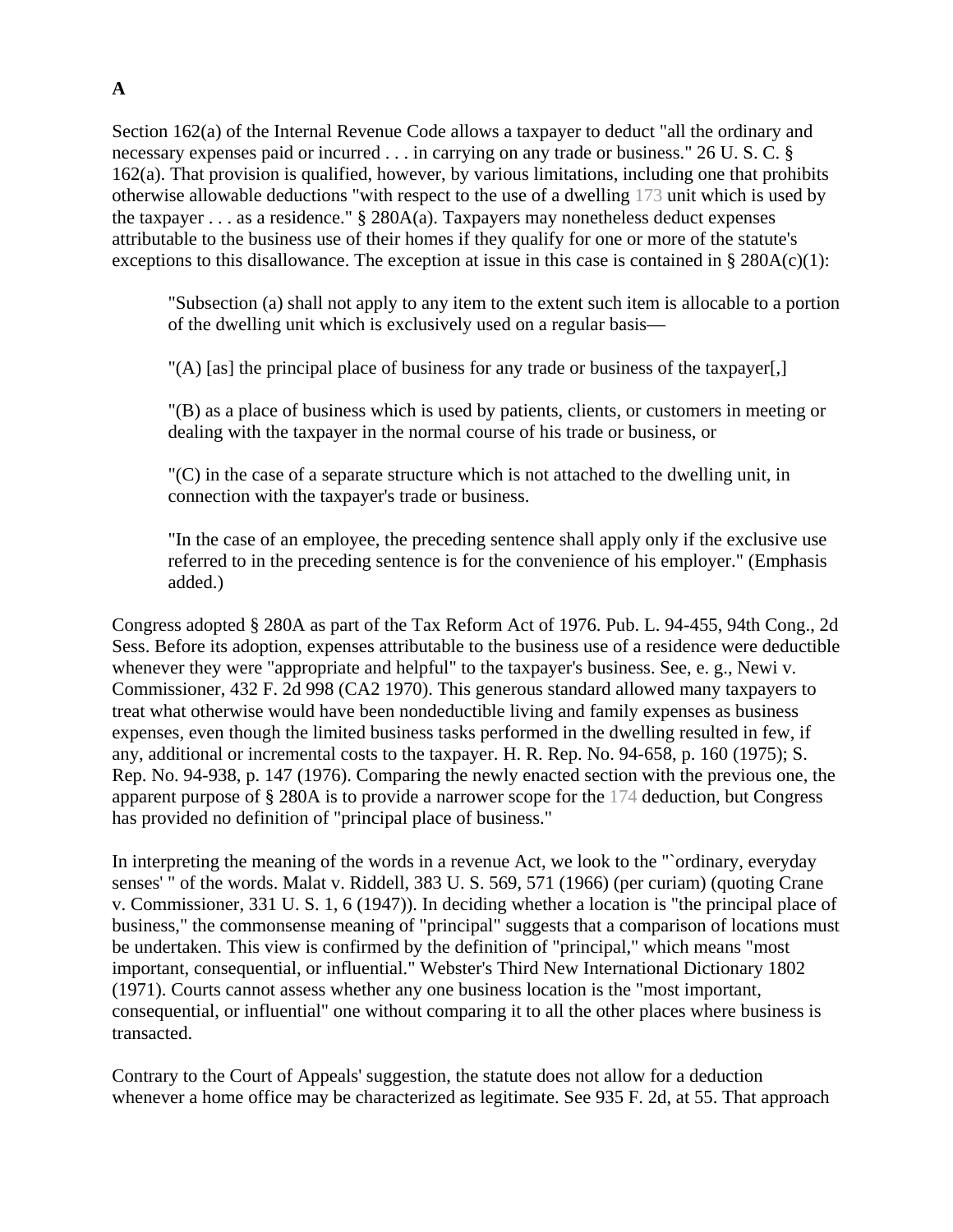Section 162(a) of the Internal Revenue Code allows a taxpayer to deduct "all the ordinary and necessary expenses paid or incurred . . . in carrying on any trade or business." 26 U.S.C. § 162(a). That provision is qualified, however, by various limitations, including one that prohibits otherwise allowable deductions "with respect to the use of a dwelling 173 unit which is used by the taxpayer  $\ldots$  as a residence." § 280A(a). Taxpayers may nonetheless deduct expenses attributable to the business use of their homes if they qualify for one or more of the statute's exceptions to this disallowance. The exception at issue in this case is contained in  $\S 280A(c)(1)$ :

"Subsection (a) shall not apply to any item to the extent such item is allocable to a portion of the dwelling unit which is exclusively used on a regular basis—

"(A) [as] the principal place of business for any trade or business of the taxpayer[,]

"(B) as a place of business which is used by patients, clients, or customers in meeting or dealing with the taxpayer in the normal course of his trade or business, or

"(C) in the case of a separate structure which is not attached to the dwelling unit, in connection with the taxpayer's trade or business.

"In the case of an employee, the preceding sentence shall apply only if the exclusive use referred to in the preceding sentence is for the convenience of his employer." (Emphasis added.)

Congress adopted § 280A as part of the Tax Reform Act of 1976. Pub. L. 94-455, 94th Cong., 2d Sess. Before its adoption, expenses attributable to the business use of a residence were deductible whenever they were "appropriate and helpful" to the taxpayer's business. See, e. g., Newi v. Commissioner, 432 F. 2d 998 (CA2 1970). This generous standard allowed many taxpayers to treat what otherwise would have been nondeductible living and family expenses as business expenses, even though the limited business tasks performed in the dwelling resulted in few, if any, additional or incremental costs to the taxpayer. H. R. Rep. No. 94-658, p. 160 (1975); S. Rep. No. 94-938, p. 147 (1976). Comparing the newly enacted section with the previous one, the apparent purpose of § 280A is to provide a narrower scope for the 174 deduction, but Congress has provided no definition of "principal place of business."

In interpreting the meaning of the words in a revenue Act, we look to the "`ordinary, everyday senses' " of the words. Malat v. Riddell, 383 U. S. 569, 571 (1966) (per curiam) (quoting Crane v. Commissioner, 331 U. S. 1, 6 (1947)). In deciding whether a location is "the principal place of business," the commonsense meaning of "principal" suggests that a comparison of locations must be undertaken. This view is confirmed by the definition of "principal," which means "most important, consequential, or influential." Webster's Third New International Dictionary 1802 (1971). Courts cannot assess whether any one business location is the "most important, consequential, or influential" one without comparing it to all the other places where business is transacted.

Contrary to the Court of Appeals' suggestion, the statute does not allow for a deduction whenever a home office may be characterized as legitimate. See 935 F. 2d, at 55. That approach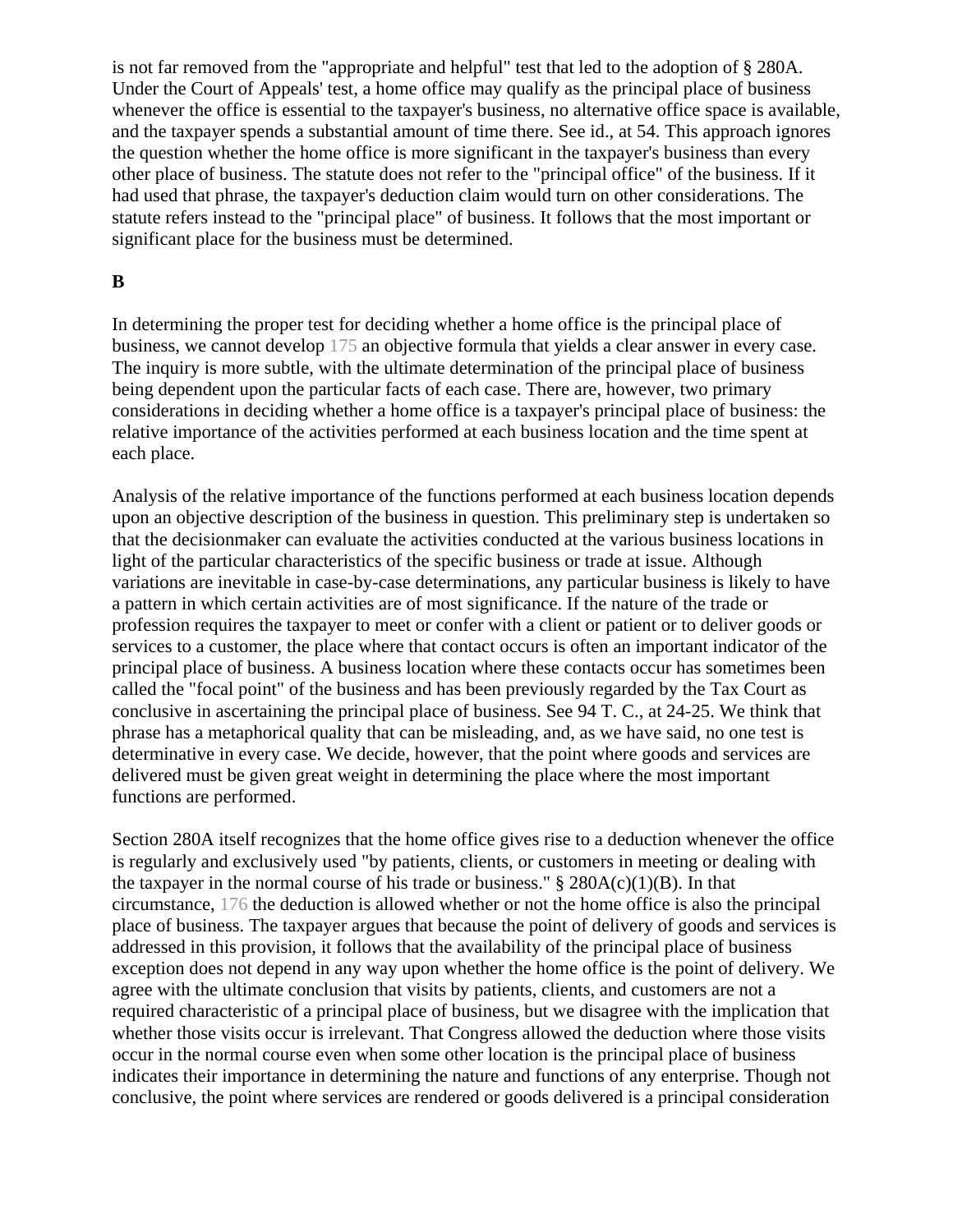is not far removed from the "appropriate and helpful" test that led to the adoption of § 280A. Under the Court of Appeals' test, a home office may qualify as the principal place of business whenever the office is essential to the taxpayer's business, no alternative office space is available, and the taxpayer spends a substantial amount of time there. See id., at 54. This approach ignores the question whether the home office is more significant in the taxpayer's business than every other place of business. The statute does not refer to the "principal office" of the business. If it had used that phrase, the taxpayer's deduction claim would turn on other considerations. The statute refers instead to the "principal place" of business. It follows that the most important or significant place for the business must be determined.

## **B**

In determining the proper test for deciding whether a home office is the principal place of business, we cannot develop 175 an objective formula that yields a clear answer in every case. The inquiry is more subtle, with the ultimate determination of the principal place of business being dependent upon the particular facts of each case. There are, however, two primary considerations in deciding whether a home office is a taxpayer's principal place of business: the relative importance of the activities performed at each business location and the time spent at each place.

Analysis of the relative importance of the functions performed at each business location depends upon an objective description of the business in question. This preliminary step is undertaken so that the decisionmaker can evaluate the activities conducted at the various business locations in light of the particular characteristics of the specific business or trade at issue. Although variations are inevitable in case-by-case determinations, any particular business is likely to have a pattern in which certain activities are of most significance. If the nature of the trade or profession requires the taxpayer to meet or confer with a client or patient or to deliver goods or services to a customer, the place where that contact occurs is often an important indicator of the principal place of business. A business location where these contacts occur has sometimes been called the "focal point" of the business and has been previously regarded by the Tax Court as conclusive in ascertaining the principal place of business. See 94 T. C., at 24-25. We think that phrase has a metaphorical quality that can be misleading, and, as we have said, no one test is determinative in every case. We decide, however, that the point where goods and services are delivered must be given great weight in determining the place where the most important functions are performed.

Section 280A itself recognizes that the home office gives rise to a deduction whenever the office is regularly and exclusively used "by patients, clients, or customers in meeting or dealing with the taxpayer in the normal course of his trade or business."  $\S$  280A(c)(1)(B). In that circumstance, 176 the deduction is allowed whether or not the home office is also the principal place of business. The taxpayer argues that because the point of delivery of goods and services is addressed in this provision, it follows that the availability of the principal place of business exception does not depend in any way upon whether the home office is the point of delivery. We agree with the ultimate conclusion that visits by patients, clients, and customers are not a required characteristic of a principal place of business, but we disagree with the implication that whether those visits occur is irrelevant. That Congress allowed the deduction where those visits occur in the normal course even when some other location is the principal place of business indicates their importance in determining the nature and functions of any enterprise. Though not conclusive, the point where services are rendered or goods delivered is a principal consideration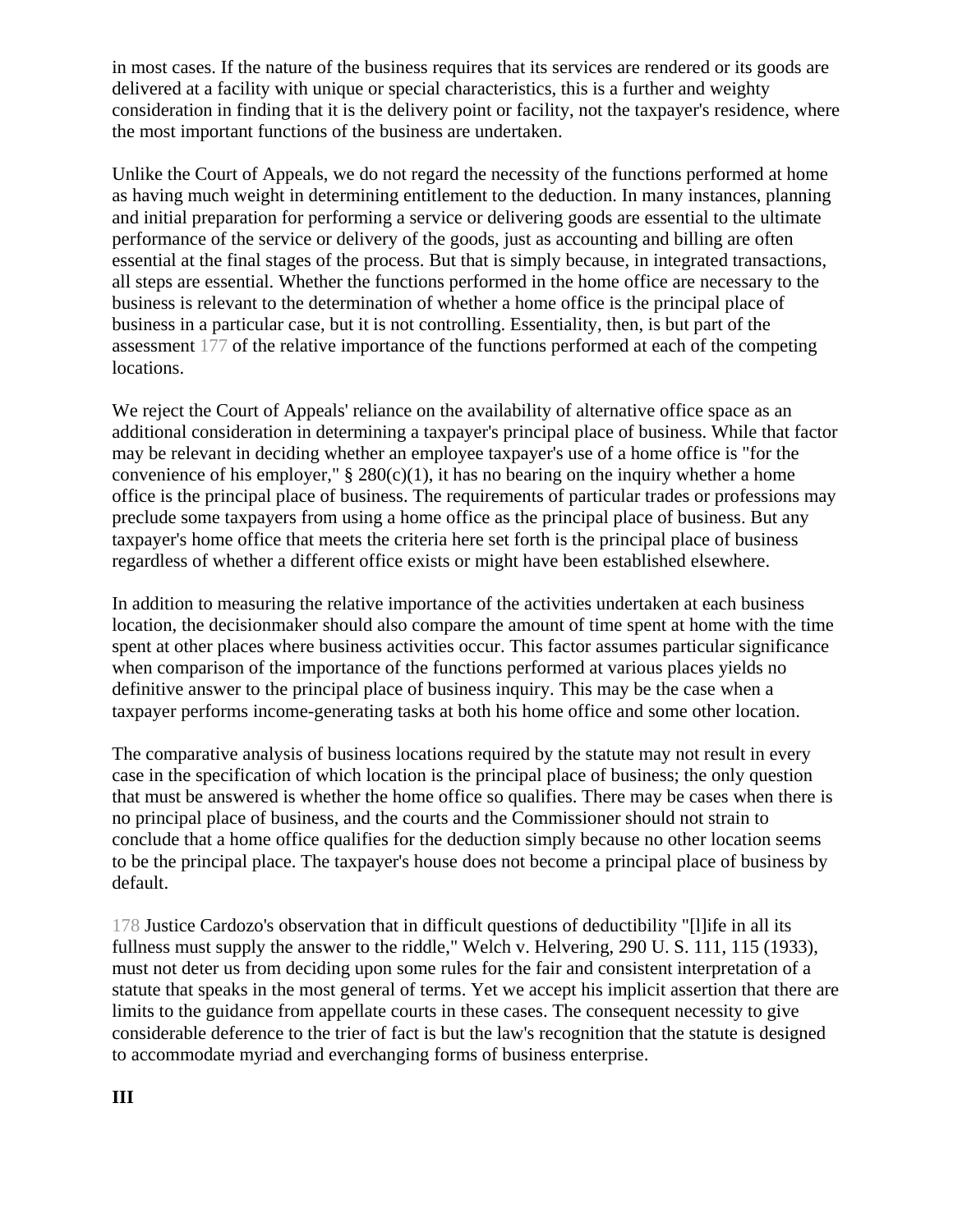in most cases. If the nature of the business requires that its services are rendered or its goods are delivered at a facility with unique or special characteristics, this is a further and weighty consideration in finding that it is the delivery point or facility, not the taxpayer's residence, where the most important functions of the business are undertaken.

Unlike the Court of Appeals, we do not regard the necessity of the functions performed at home as having much weight in determining entitlement to the deduction. In many instances, planning and initial preparation for performing a service or delivering goods are essential to the ultimate performance of the service or delivery of the goods, just as accounting and billing are often essential at the final stages of the process. But that is simply because, in integrated transactions, all steps are essential. Whether the functions performed in the home office are necessary to the business is relevant to the determination of whether a home office is the principal place of business in a particular case, but it is not controlling. Essentiality, then, is but part of the assessment 177 of the relative importance of the functions performed at each of the competing locations.

We reject the Court of Appeals' reliance on the availability of alternative office space as an additional consideration in determining a taxpayer's principal place of business. While that factor may be relevant in deciding whether an employee taxpayer's use of a home office is "for the convenience of his employer,"  $\S 280(c)(1)$ , it has no bearing on the inquiry whether a home office is the principal place of business. The requirements of particular trades or professions may preclude some taxpayers from using a home office as the principal place of business. But any taxpayer's home office that meets the criteria here set forth is the principal place of business regardless of whether a different office exists or might have been established elsewhere.

In addition to measuring the relative importance of the activities undertaken at each business location, the decisionmaker should also compare the amount of time spent at home with the time spent at other places where business activities occur. This factor assumes particular significance when comparison of the importance of the functions performed at various places yields no definitive answer to the principal place of business inquiry. This may be the case when a taxpayer performs income-generating tasks at both his home office and some other location.

The comparative analysis of business locations required by the statute may not result in every case in the specification of which location is the principal place of business; the only question that must be answered is whether the home office so qualifies. There may be cases when there is no principal place of business, and the courts and the Commissioner should not strain to conclude that a home office qualifies for the deduction simply because no other location seems to be the principal place. The taxpayer's house does not become a principal place of business by default.

178 Justice Cardozo's observation that in difficult questions of deductibility "[l]ife in all its fullness must supply the answer to the riddle," Welch v. Helvering, 290 U.S. 111, 115 (1933), must not deter us from deciding upon some rules for the fair and consistent interpretation of a statute that speaks in the most general of terms. Yet we accept his implicit assertion that there are limits to the guidance from appellate courts in these cases. The consequent necessity to give considerable deference to the trier of fact is but the law's recognition that the statute is designed to accommodate myriad and everchanging forms of business enterprise.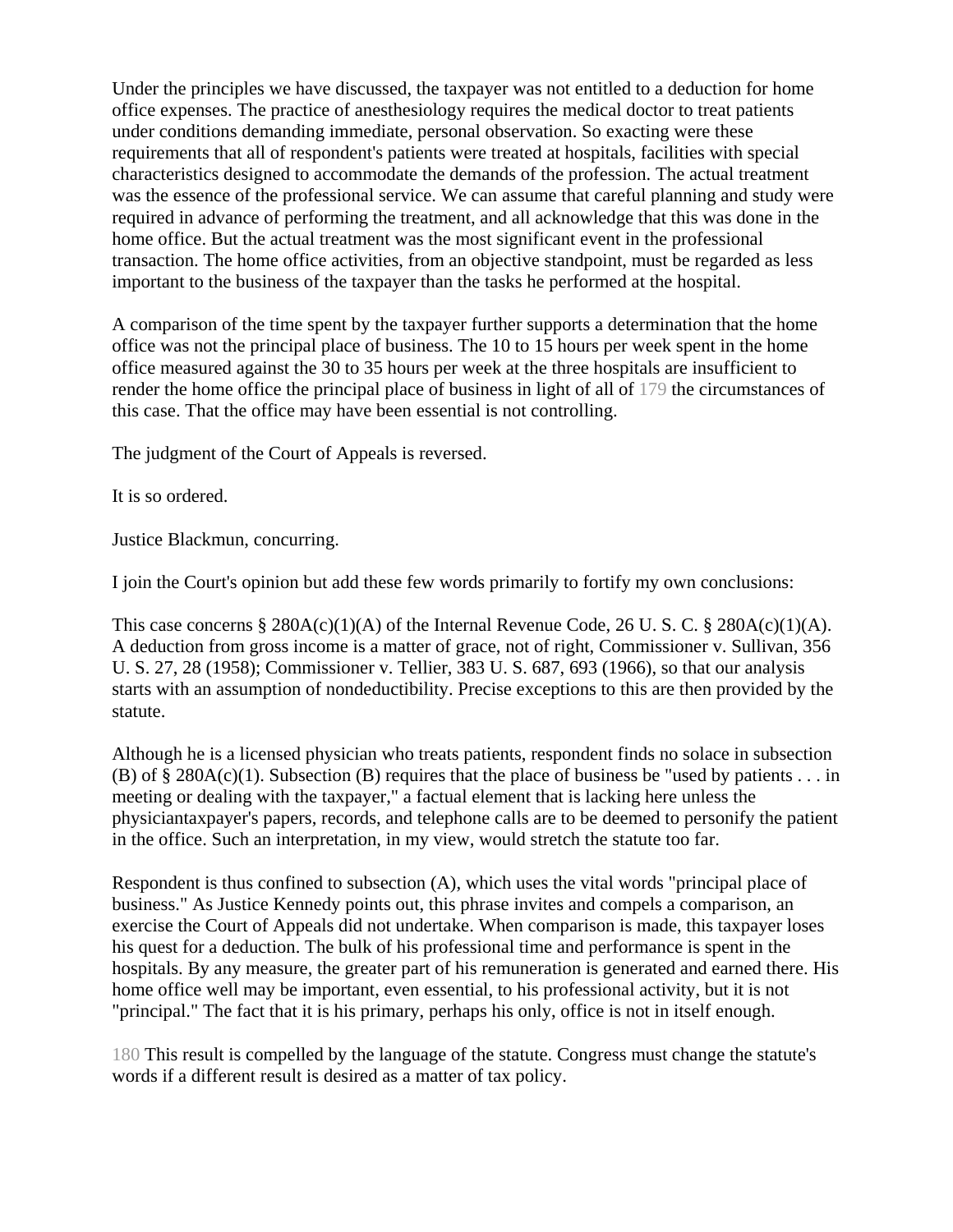Under the principles we have discussed, the taxpayer was not entitled to a deduction for home office expenses. The practice of anesthesiology requires the medical doctor to treat patients under conditions demanding immediate, personal observation. So exacting were these requirements that all of respondent's patients were treated at hospitals, facilities with special characteristics designed to accommodate the demands of the profession. The actual treatment was the essence of the professional service. We can assume that careful planning and study were required in advance of performing the treatment, and all acknowledge that this was done in the home office. But the actual treatment was the most significant event in the professional transaction. The home office activities, from an objective standpoint, must be regarded as less important to the business of the taxpayer than the tasks he performed at the hospital.

A comparison of the time spent by the taxpayer further supports a determination that the home office was not the principal place of business. The 10 to 15 hours per week spent in the home office measured against the 30 to 35 hours per week at the three hospitals are insufficient to render the home office the principal place of business in light of all of 179 the circumstances of this case. That the office may have been essential is not controlling.

The judgment of the Court of Appeals is reversed.

It is so ordered.

Justice Blackmun, concurring.

I join the Court's opinion but add these few words primarily to fortify my own conclusions:

This case concerns  $\S 280A(c)(1)(A)$  of the Internal Revenue Code, 26 U. S. C.  $\S 280A(c)(1)(A)$ . A deduction from gross income is a matter of grace, not of right, Commissioner v. Sullivan, 356 U. S. 27, 28 (1958); Commissioner v. Tellier, 383 U. S. 687, 693 (1966), so that our analysis starts with an assumption of nondeductibility. Precise exceptions to this are then provided by the statute.

Although he is a licensed physician who treats patients, respondent finds no solace in subsection (B) of  $\S 280A(c)(1)$ . Subsection (B) requires that the place of business be "used by patients . . . in meeting or dealing with the taxpayer," a factual element that is lacking here unless the physiciantaxpayer's papers, records, and telephone calls are to be deemed to personify the patient in the office. Such an interpretation, in my view, would stretch the statute too far.

Respondent is thus confined to subsection (A), which uses the vital words "principal place of business." As Justice Kennedy points out, this phrase invites and compels a comparison, an exercise the Court of Appeals did not undertake. When comparison is made, this taxpayer loses his quest for a deduction. The bulk of his professional time and performance is spent in the hospitals. By any measure, the greater part of his remuneration is generated and earned there. His home office well may be important, even essential, to his professional activity, but it is not "principal." The fact that it is his primary, perhaps his only, office is not in itself enough.

180 This result is compelled by the language of the statute. Congress must change the statute's words if a different result is desired as a matter of tax policy.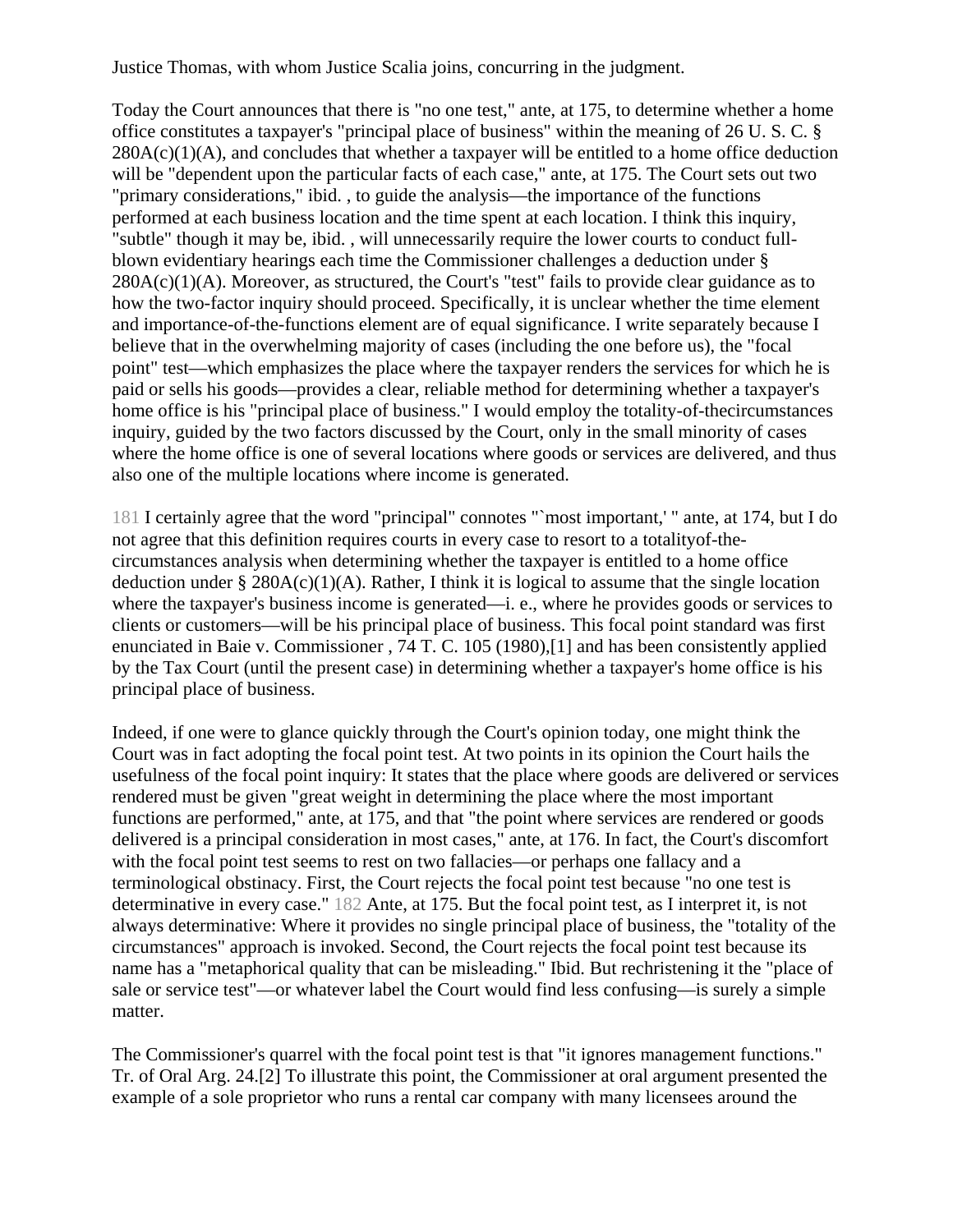Justice Thomas, with whom Justice Scalia joins, concurring in the judgment.

Today the Court announces that there is "no one test," ante, at 175, to determine whether a home office constitutes a taxpayer's "principal place of business" within the meaning of 26 U. S. C. §  $280A(c)(1)(A)$ , and concludes that whether a taxpayer will be entitled to a home office deduction will be "dependent upon the particular facts of each case," ante, at 175. The Court sets out two "primary considerations," ibid. , to guide the analysis—the importance of the functions performed at each business location and the time spent at each location. I think this inquiry, "subtle" though it may be, ibid. , will unnecessarily require the lower courts to conduct fullblown evidentiary hearings each time the Commissioner challenges a deduction under §  $280A(c)(1)(A)$ . Moreover, as structured, the Court's "test" fails to provide clear guidance as to how the two-factor inquiry should proceed. Specifically, it is unclear whether the time element and importance-of-the-functions element are of equal significance. I write separately because I believe that in the overwhelming majority of cases (including the one before us), the "focal point" test—which emphasizes the place where the taxpayer renders the services for which he is paid or sells his goods—provides a clear, reliable method for determining whether a taxpayer's home office is his "principal place of business." I would employ the totality-of-thecircumstances inquiry, guided by the two factors discussed by the Court, only in the small minority of cases where the home office is one of several locations where goods or services are delivered, and thus also one of the multiple locations where income is generated.

181 I certainly agree that the word "principal" connotes "`most important,' " ante, at 174, but I do not agree that this definition requires courts in every case to resort to a totalityof-thecircumstances analysis when determining whether the taxpayer is entitled to a home office deduction under §  $280A(c)(1)(A)$ . Rather, I think it is logical to assume that the single location where the taxpayer's business income is generated—i. e., where he provides goods or services to clients or customers—will be his principal place of business. This focal point standard was first enunciated in Baie v. Commissioner , 74 T. C. 105 (1980),[1] and has been consistently applied by the Tax Court (until the present case) in determining whether a taxpayer's home office is his principal place of business.

Indeed, if one were to glance quickly through the Court's opinion today, one might think the Court was in fact adopting the focal point test. At two points in its opinion the Court hails the usefulness of the focal point inquiry: It states that the place where goods are delivered or services rendered must be given "great weight in determining the place where the most important functions are performed," ante, at 175, and that "the point where services are rendered or goods delivered is a principal consideration in most cases," ante, at 176. In fact, the Court's discomfort with the focal point test seems to rest on two fallacies—or perhaps one fallacy and a terminological obstinacy. First, the Court rejects the focal point test because "no one test is determinative in every case." 182 Ante, at 175. But the focal point test, as I interpret it, is not always determinative: Where it provides no single principal place of business, the "totality of the circumstances" approach is invoked. Second, the Court rejects the focal point test because its name has a "metaphorical quality that can be misleading." Ibid. But rechristening it the "place of sale or service test"—or whatever label the Court would find less confusing—is surely a simple matter.

The Commissioner's quarrel with the focal point test is that "it ignores management functions." Tr. of Oral Arg. 24.[2] To illustrate this point, the Commissioner at oral argument presented the example of a sole proprietor who runs a rental car company with many licensees around the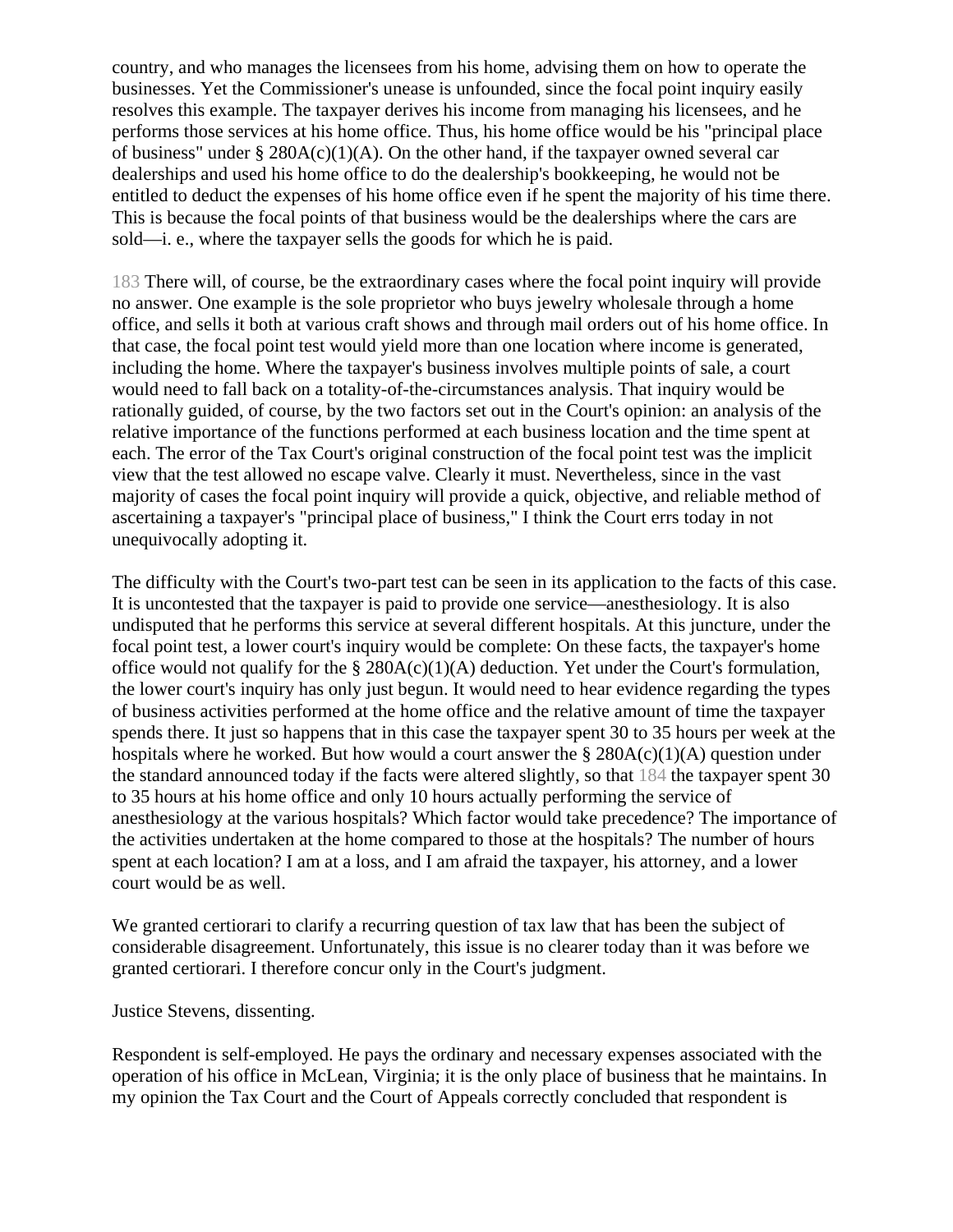country, and who manages the licensees from his home, advising them on how to operate the businesses. Yet the Commissioner's unease is unfounded, since the focal point inquiry easily resolves this example. The taxpayer derives his income from managing his licensees, and he performs those services at his home office. Thus, his home office would be his "principal place of business" under  $\S 280A(c)(1)(A)$ . On the other hand, if the taxpayer owned several car dealerships and used his home office to do the dealership's bookkeeping, he would not be entitled to deduct the expenses of his home office even if he spent the majority of his time there. This is because the focal points of that business would be the dealerships where the cars are sold—i. e., where the taxpayer sells the goods for which he is paid.

183 There will, of course, be the extraordinary cases where the focal point inquiry will provide no answer. One example is the sole proprietor who buys jewelry wholesale through a home office, and sells it both at various craft shows and through mail orders out of his home office. In that case, the focal point test would yield more than one location where income is generated, including the home. Where the taxpayer's business involves multiple points of sale, a court would need to fall back on a totality-of-the-circumstances analysis. That inquiry would be rationally guided, of course, by the two factors set out in the Court's opinion: an analysis of the relative importance of the functions performed at each business location and the time spent at each. The error of the Tax Court's original construction of the focal point test was the implicit view that the test allowed no escape valve. Clearly it must. Nevertheless, since in the vast majority of cases the focal point inquiry will provide a quick, objective, and reliable method of ascertaining a taxpayer's "principal place of business," I think the Court errs today in not unequivocally adopting it.

The difficulty with the Court's two-part test can be seen in its application to the facts of this case. It is uncontested that the taxpayer is paid to provide one service—anesthesiology. It is also undisputed that he performs this service at several different hospitals. At this juncture, under the focal point test, a lower court's inquiry would be complete: On these facts, the taxpayer's home office would not qualify for the  $\S$  280A(c)(1)(A) deduction. Yet under the Court's formulation, the lower court's inquiry has only just begun. It would need to hear evidence regarding the types of business activities performed at the home office and the relative amount of time the taxpayer spends there. It just so happens that in this case the taxpayer spent 30 to 35 hours per week at the hospitals where he worked. But how would a court answer the  $\S 280A(c)(1)(A)$  question under the standard announced today if the facts were altered slightly, so that 184 the taxpayer spent 30 to 35 hours at his home office and only 10 hours actually performing the service of anesthesiology at the various hospitals? Which factor would take precedence? The importance of the activities undertaken at the home compared to those at the hospitals? The number of hours spent at each location? I am at a loss, and I am afraid the taxpayer, his attorney, and a lower court would be as well.

We granted certiorari to clarify a recurring question of tax law that has been the subject of considerable disagreement. Unfortunately, this issue is no clearer today than it was before we granted certiorari. I therefore concur only in the Court's judgment.

Justice Stevens, dissenting.

Respondent is self-employed. He pays the ordinary and necessary expenses associated with the operation of his office in McLean, Virginia; it is the only place of business that he maintains. In my opinion the Tax Court and the Court of Appeals correctly concluded that respondent is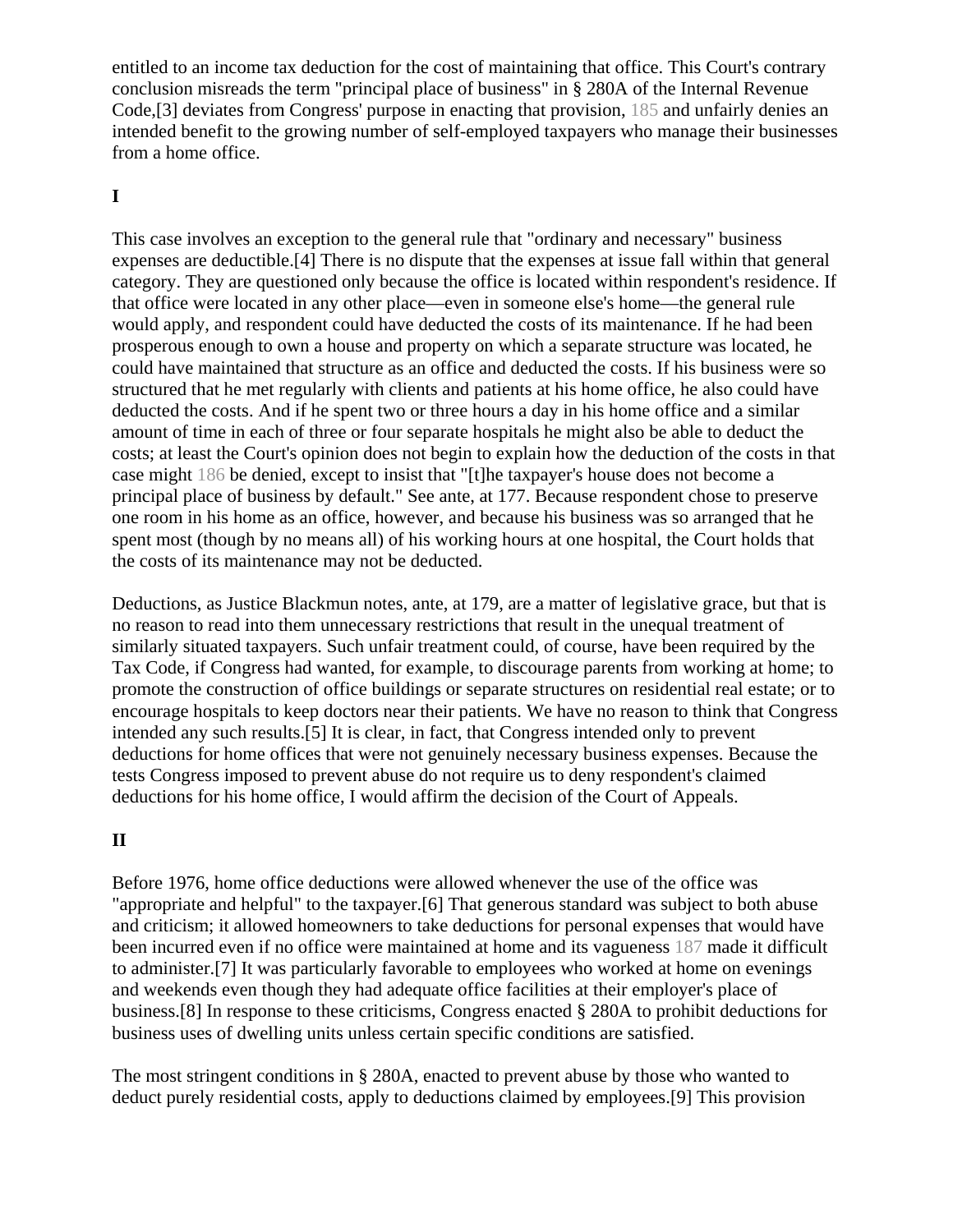entitled to an income tax deduction for the cost of maintaining that office. This Court's contrary conclusion misreads the term "principal place of business" in § 280A of the Internal Revenue Code,[3] deviates from Congress' purpose in enacting that provision, 185 and unfairly denies an intended benefit to the growing number of self-employed taxpayers who manage their businesses from a home office.

### **I**

This case involves an exception to the general rule that "ordinary and necessary" business expenses are deductible.[4] There is no dispute that the expenses at issue fall within that general category. They are questioned only because the office is located within respondent's residence. If that office were located in any other place—even in someone else's home—the general rule would apply, and respondent could have deducted the costs of its maintenance. If he had been prosperous enough to own a house and property on which a separate structure was located, he could have maintained that structure as an office and deducted the costs. If his business were so structured that he met regularly with clients and patients at his home office, he also could have deducted the costs. And if he spent two or three hours a day in his home office and a similar amount of time in each of three or four separate hospitals he might also be able to deduct the costs; at least the Court's opinion does not begin to explain how the deduction of the costs in that case might 186 be denied, except to insist that "[t]he taxpayer's house does not become a principal place of business by default." See ante, at 177. Because respondent chose to preserve one room in his home as an office, however, and because his business was so arranged that he spent most (though by no means all) of his working hours at one hospital, the Court holds that the costs of its maintenance may not be deducted.

Deductions, as Justice Blackmun notes, ante, at 179, are a matter of legislative grace, but that is no reason to read into them unnecessary restrictions that result in the unequal treatment of similarly situated taxpayers. Such unfair treatment could, of course, have been required by the Tax Code, if Congress had wanted, for example, to discourage parents from working at home; to promote the construction of office buildings or separate structures on residential real estate; or to encourage hospitals to keep doctors near their patients. We have no reason to think that Congress intended any such results.[5] It is clear, in fact, that Congress intended only to prevent deductions for home offices that were not genuinely necessary business expenses. Because the tests Congress imposed to prevent abuse do not require us to deny respondent's claimed deductions for his home office, I would affirm the decision of the Court of Appeals.

#### **II**

Before 1976, home office deductions were allowed whenever the use of the office was "appropriate and helpful" to the taxpayer.[6] That generous standard was subject to both abuse and criticism; it allowed homeowners to take deductions for personal expenses that would have been incurred even if no office were maintained at home and its vagueness 187 made it difficult to administer.[7] It was particularly favorable to employees who worked at home on evenings and weekends even though they had adequate office facilities at their employer's place of business.[8] In response to these criticisms, Congress enacted § 280A to prohibit deductions for business uses of dwelling units unless certain specific conditions are satisfied.

The most stringent conditions in § 280A, enacted to prevent abuse by those who wanted to deduct purely residential costs, apply to deductions claimed by employees.[9] This provision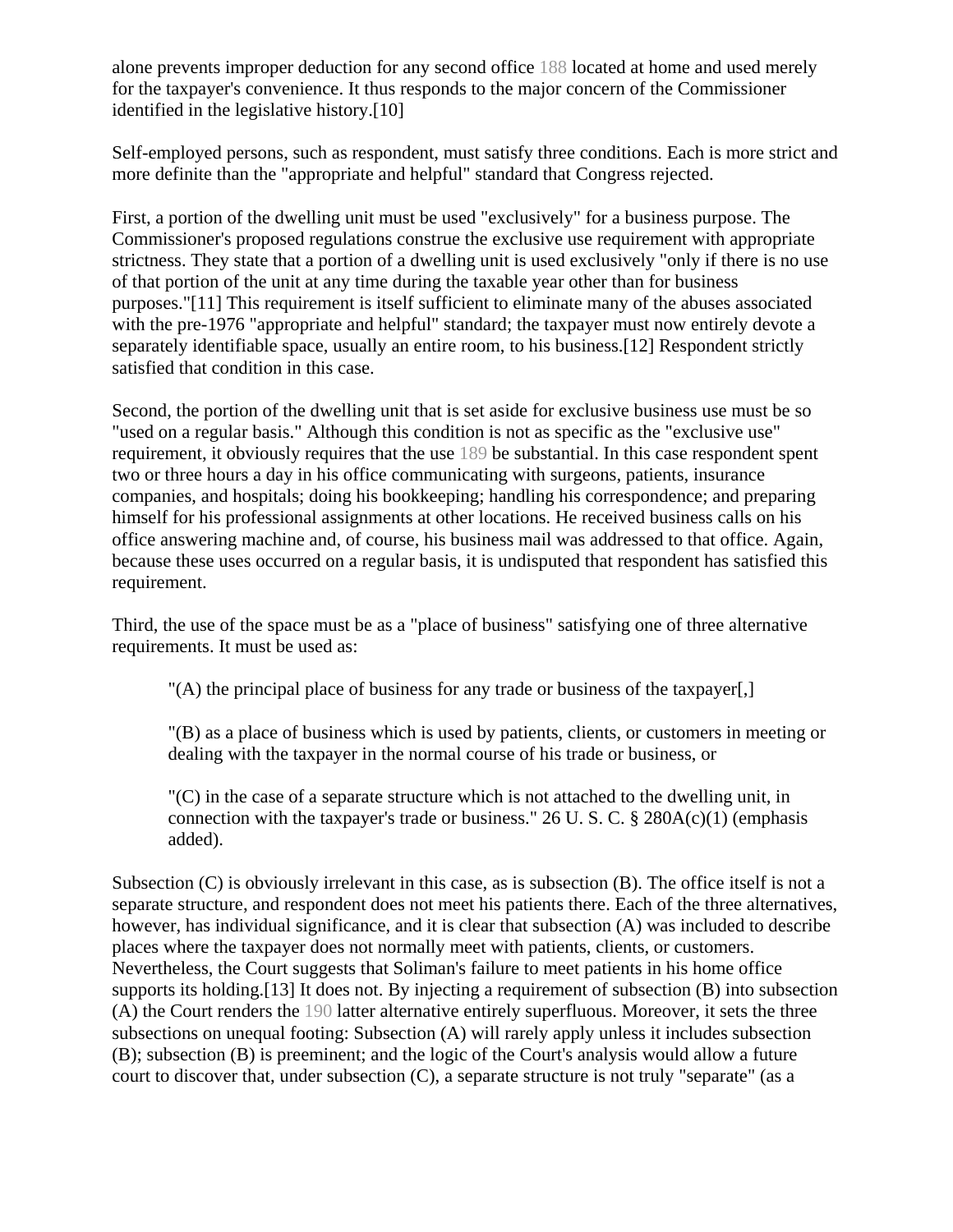alone prevents improper deduction for any second office 188 located at home and used merely for the taxpayer's convenience. It thus responds to the major concern of the Commissioner identified in the legislative history.[10]

Self-employed persons, such as respondent, must satisfy three conditions. Each is more strict and more definite than the "appropriate and helpful" standard that Congress rejected.

First, a portion of the dwelling unit must be used "exclusively" for a business purpose. The Commissioner's proposed regulations construe the exclusive use requirement with appropriate strictness. They state that a portion of a dwelling unit is used exclusively "only if there is no use of that portion of the unit at any time during the taxable year other than for business purposes."[11] This requirement is itself sufficient to eliminate many of the abuses associated with the pre-1976 "appropriate and helpful" standard; the taxpayer must now entirely devote a separately identifiable space, usually an entire room, to his business.[12] Respondent strictly satisfied that condition in this case.

Second, the portion of the dwelling unit that is set aside for exclusive business use must be so "used on a regular basis." Although this condition is not as specific as the "exclusive use" requirement, it obviously requires that the use 189 be substantial. In this case respondent spent two or three hours a day in his office communicating with surgeons, patients, insurance companies, and hospitals; doing his bookkeeping; handling his correspondence; and preparing himself for his professional assignments at other locations. He received business calls on his office answering machine and, of course, his business mail was addressed to that office. Again, because these uses occurred on a regular basis, it is undisputed that respondent has satisfied this requirement.

Third, the use of the space must be as a "place of business" satisfying one of three alternative requirements. It must be used as:

"(A) the principal place of business for any trade or business of the taxpayer[,]

"(B) as a place of business which is used by patients, clients, or customers in meeting or dealing with the taxpayer in the normal course of his trade or business, or

"(C) in the case of a separate structure which is not attached to the dwelling unit, in connection with the taxpayer's trade or business." 26 U. S. C.  $\S$  280A(c)(1) (emphasis added).

Subsection (C) is obviously irrelevant in this case, as is subsection (B). The office itself is not a separate structure, and respondent does not meet his patients there. Each of the three alternatives, however, has individual significance, and it is clear that subsection (A) was included to describe places where the taxpayer does not normally meet with patients, clients, or customers. Nevertheless, the Court suggests that Soliman's failure to meet patients in his home office supports its holding.[13] It does not. By injecting a requirement of subsection (B) into subsection (A) the Court renders the 190 latter alternative entirely superfluous. Moreover, it sets the three subsections on unequal footing: Subsection (A) will rarely apply unless it includes subsection (B); subsection (B) is preeminent; and the logic of the Court's analysis would allow a future court to discover that, under subsection (C), a separate structure is not truly "separate" (as a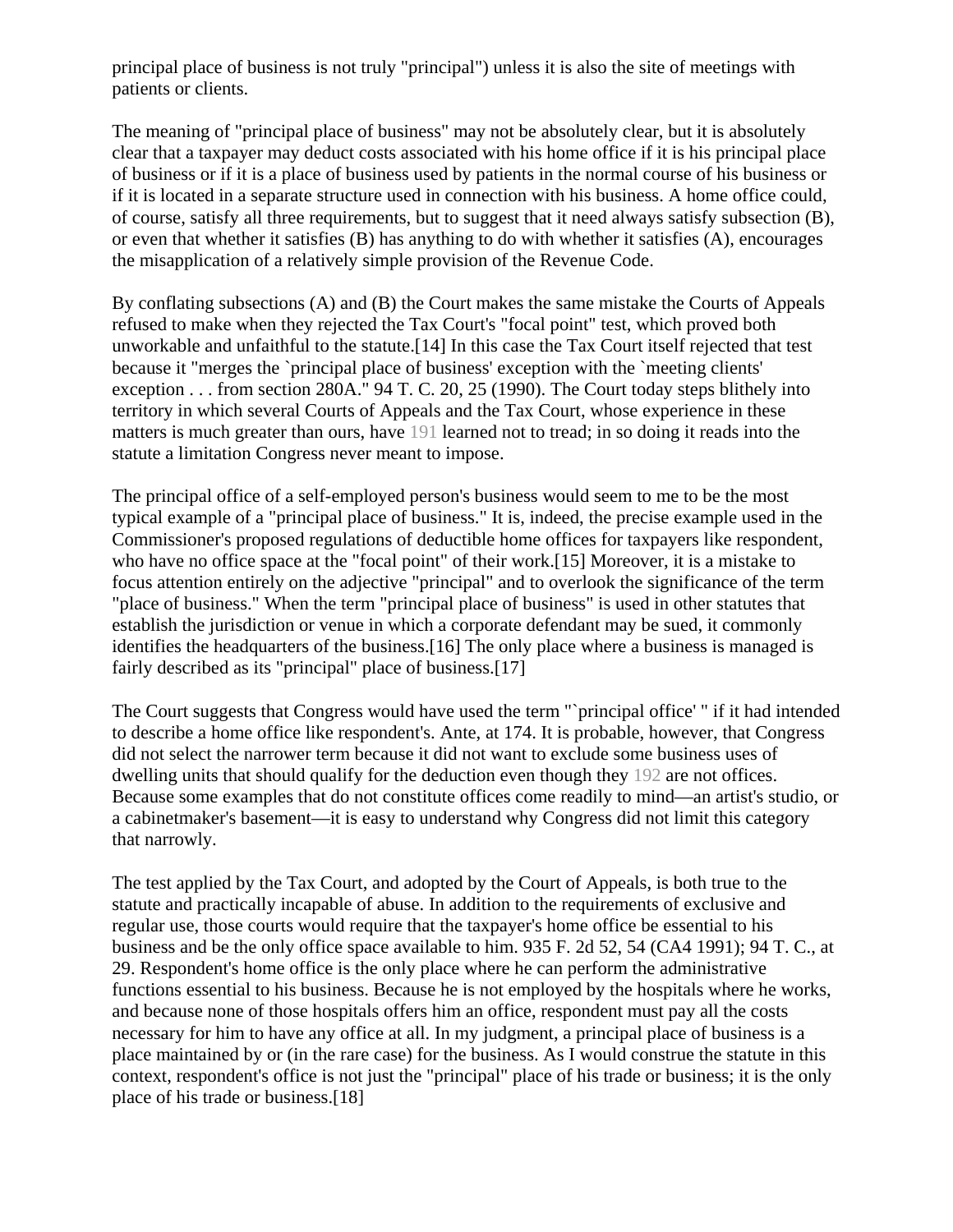principal place of business is not truly "principal") unless it is also the site of meetings with patients or clients.

The meaning of "principal place of business" may not be absolutely clear, but it is absolutely clear that a taxpayer may deduct costs associated with his home office if it is his principal place of business or if it is a place of business used by patients in the normal course of his business or if it is located in a separate structure used in connection with his business. A home office could, of course, satisfy all three requirements, but to suggest that it need always satisfy subsection (B), or even that whether it satisfies (B) has anything to do with whether it satisfies (A), encourages the misapplication of a relatively simple provision of the Revenue Code.

By conflating subsections (A) and (B) the Court makes the same mistake the Courts of Appeals refused to make when they rejected the Tax Court's "focal point" test, which proved both unworkable and unfaithful to the statute.[14] In this case the Tax Court itself rejected that test because it "merges the `principal place of business' exception with the `meeting clients' exception . . . from section 280A." 94 T. C. 20, 25 (1990). The Court today steps blithely into territory in which several Courts of Appeals and the Tax Court, whose experience in these matters is much greater than ours, have 191 learned not to tread; in so doing it reads into the statute a limitation Congress never meant to impose.

The principal office of a self-employed person's business would seem to me to be the most typical example of a "principal place of business." It is, indeed, the precise example used in the Commissioner's proposed regulations of deductible home offices for taxpayers like respondent, who have no office space at the "focal point" of their work.[15] Moreover, it is a mistake to focus attention entirely on the adjective "principal" and to overlook the significance of the term "place of business." When the term "principal place of business" is used in other statutes that establish the jurisdiction or venue in which a corporate defendant may be sued, it commonly identifies the headquarters of the business.[16] The only place where a business is managed is fairly described as its "principal" place of business.[17]

The Court suggests that Congress would have used the term "`principal office' " if it had intended to describe a home office like respondent's. Ante, at 174. It is probable, however, that Congress did not select the narrower term because it did not want to exclude some business uses of dwelling units that should qualify for the deduction even though they 192 are not offices. Because some examples that do not constitute offices come readily to mind—an artist's studio, or a cabinetmaker's basement—it is easy to understand why Congress did not limit this category that narrowly.

The test applied by the Tax Court, and adopted by the Court of Appeals, is both true to the statute and practically incapable of abuse. In addition to the requirements of exclusive and regular use, those courts would require that the taxpayer's home office be essential to his business and be the only office space available to him. 935 F. 2d 52, 54 (CA4 1991); 94 T. C., at 29. Respondent's home office is the only place where he can perform the administrative functions essential to his business. Because he is not employed by the hospitals where he works, and because none of those hospitals offers him an office, respondent must pay all the costs necessary for him to have any office at all. In my judgment, a principal place of business is a place maintained by or (in the rare case) for the business. As I would construe the statute in this context, respondent's office is not just the "principal" place of his trade or business; it is the only place of his trade or business.[18]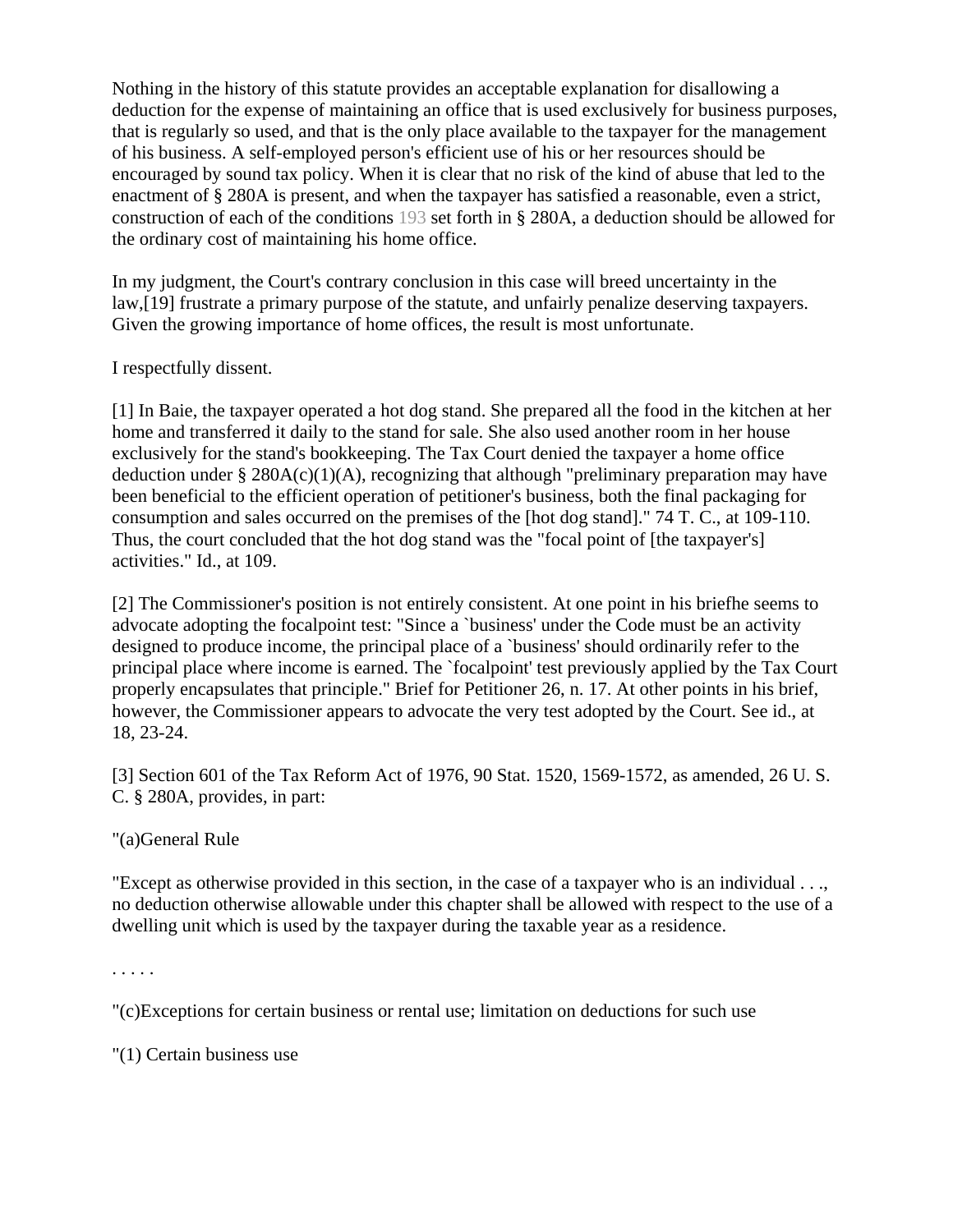Nothing in the history of this statute provides an acceptable explanation for disallowing a deduction for the expense of maintaining an office that is used exclusively for business purposes, that is regularly so used, and that is the only place available to the taxpayer for the management of his business. A self-employed person's efficient use of his or her resources should be encouraged by sound tax policy. When it is clear that no risk of the kind of abuse that led to the enactment of § 280A is present, and when the taxpayer has satisfied a reasonable, even a strict, construction of each of the conditions 193 set forth in § 280A, a deduction should be allowed for the ordinary cost of maintaining his home office.

In my judgment, the Court's contrary conclusion in this case will breed uncertainty in the law,[19] frustrate a primary purpose of the statute, and unfairly penalize deserving taxpayers. Given the growing importance of home offices, the result is most unfortunate.

I respectfully dissent.

[1] In Baie, the taxpayer operated a hot dog stand. She prepared all the food in the kitchen at her home and transferred it daily to the stand for sale. She also used another room in her house exclusively for the stand's bookkeeping. The Tax Court denied the taxpayer a home office deduction under  $\S 280A(c)(1)(A)$ , recognizing that although "preliminary preparation may have been beneficial to the efficient operation of petitioner's business, both the final packaging for consumption and sales occurred on the premises of the [hot dog stand]." 74 T. C., at 109-110. Thus, the court concluded that the hot dog stand was the "focal point of [the taxpayer's] activities." Id., at 109.

[2] The Commissioner's position is not entirely consistent. At one point in his briefhe seems to advocate adopting the focalpoint test: "Since a `business' under the Code must be an activity designed to produce income, the principal place of a `business' should ordinarily refer to the principal place where income is earned. The `focalpoint' test previously applied by the Tax Court properly encapsulates that principle." Brief for Petitioner 26, n. 17. At other points in his brief, however, the Commissioner appears to advocate the very test adopted by the Court. See id., at 18, 23-24.

[3] Section 601 of the Tax Reform Act of 1976, 90 Stat. 1520, 1569-1572, as amended, 26 U.S. C. § 280A, provides, in part:

"(a)General Rule

"Except as otherwise provided in this section, in the case of a taxpayer who is an individual . . ., no deduction otherwise allowable under this chapter shall be allowed with respect to the use of a dwelling unit which is used by the taxpayer during the taxable year as a residence.

. . . . .

"(c)Exceptions for certain business or rental use; limitation on deductions for such use

"(1) Certain business use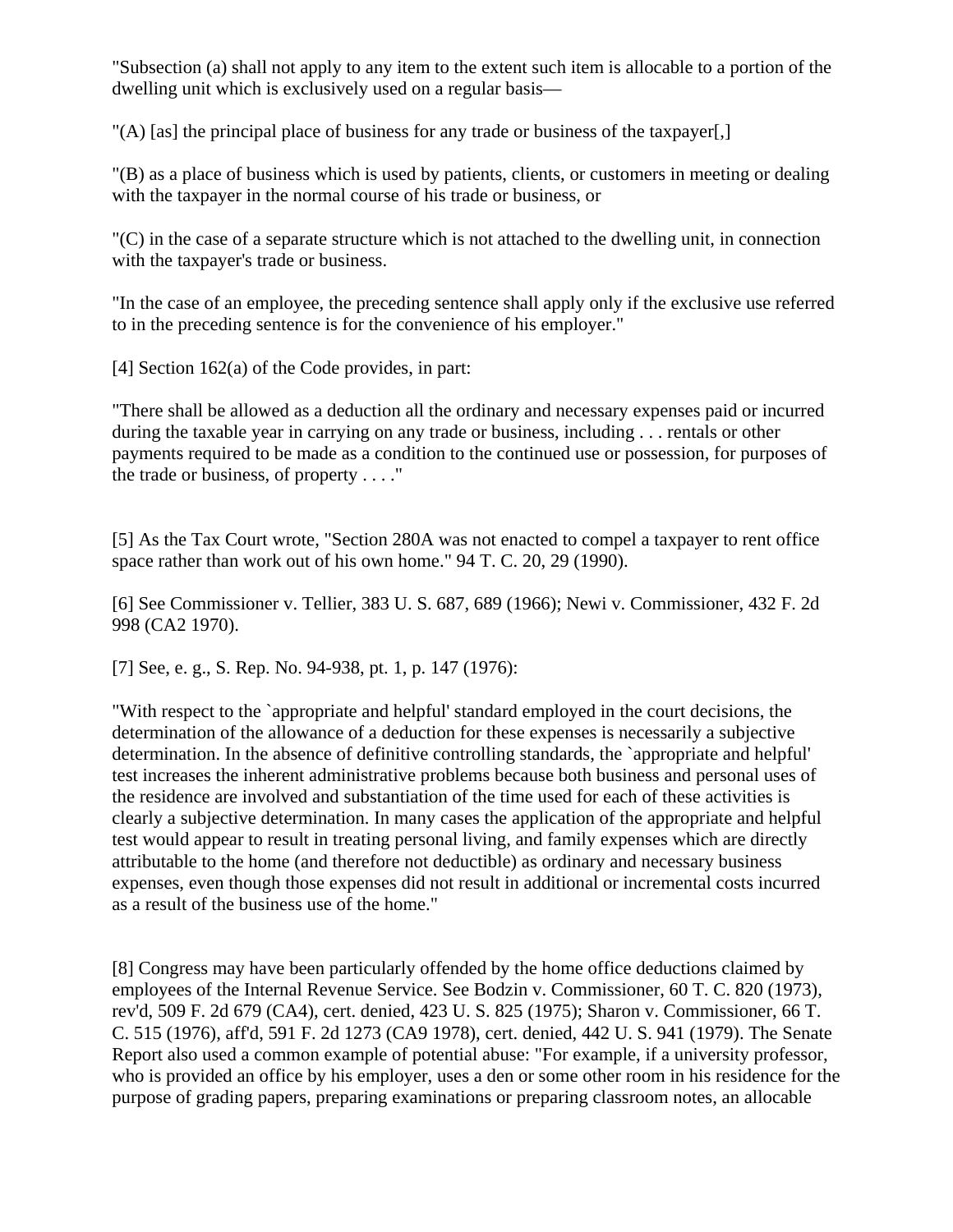"Subsection (a) shall not apply to any item to the extent such item is allocable to a portion of the dwelling unit which is exclusively used on a regular basis—

"(A) [as] the principal place of business for any trade or business of the taxpayer[,]

"(B) as a place of business which is used by patients, clients, or customers in meeting or dealing with the taxpayer in the normal course of his trade or business, or

"(C) in the case of a separate structure which is not attached to the dwelling unit, in connection with the taxpayer's trade or business.

"In the case of an employee, the preceding sentence shall apply only if the exclusive use referred to in the preceding sentence is for the convenience of his employer."

[4] Section 162(a) of the Code provides, in part:

"There shall be allowed as a deduction all the ordinary and necessary expenses paid or incurred during the taxable year in carrying on any trade or business, including . . . rentals or other payments required to be made as a condition to the continued use or possession, for purposes of the trade or business, of property . . . ."

[5] As the Tax Court wrote, "Section 280A was not enacted to compel a taxpayer to rent office space rather than work out of his own home." 94 T. C. 20, 29 (1990).

[6] See Commissioner v. Tellier, 383 U. S. 687, 689 (1966); Newi v. Commissioner, 432 F. 2d 998 (CA2 1970).

[7] See, e. g., S. Rep. No. 94-938, pt. 1, p. 147 (1976):

"With respect to the `appropriate and helpful' standard employed in the court decisions, the determination of the allowance of a deduction for these expenses is necessarily a subjective determination. In the absence of definitive controlling standards, the `appropriate and helpful' test increases the inherent administrative problems because both business and personal uses of the residence are involved and substantiation of the time used for each of these activities is clearly a subjective determination. In many cases the application of the appropriate and helpful test would appear to result in treating personal living, and family expenses which are directly attributable to the home (and therefore not deductible) as ordinary and necessary business expenses, even though those expenses did not result in additional or incremental costs incurred as a result of the business use of the home."

[8] Congress may have been particularly offended by the home office deductions claimed by employees of the Internal Revenue Service. See Bodzin v. Commissioner, 60 T. C. 820 (1973), rev'd, 509 F. 2d 679 (CA4), cert. denied, 423 U. S. 825 (1975); Sharon v. Commissioner, 66 T. C. 515 (1976), aff'd, 591 F. 2d 1273 (CA9 1978), cert. denied, 442 U. S. 941 (1979). The Senate Report also used a common example of potential abuse: "For example, if a university professor, who is provided an office by his employer, uses a den or some other room in his residence for the purpose of grading papers, preparing examinations or preparing classroom notes, an allocable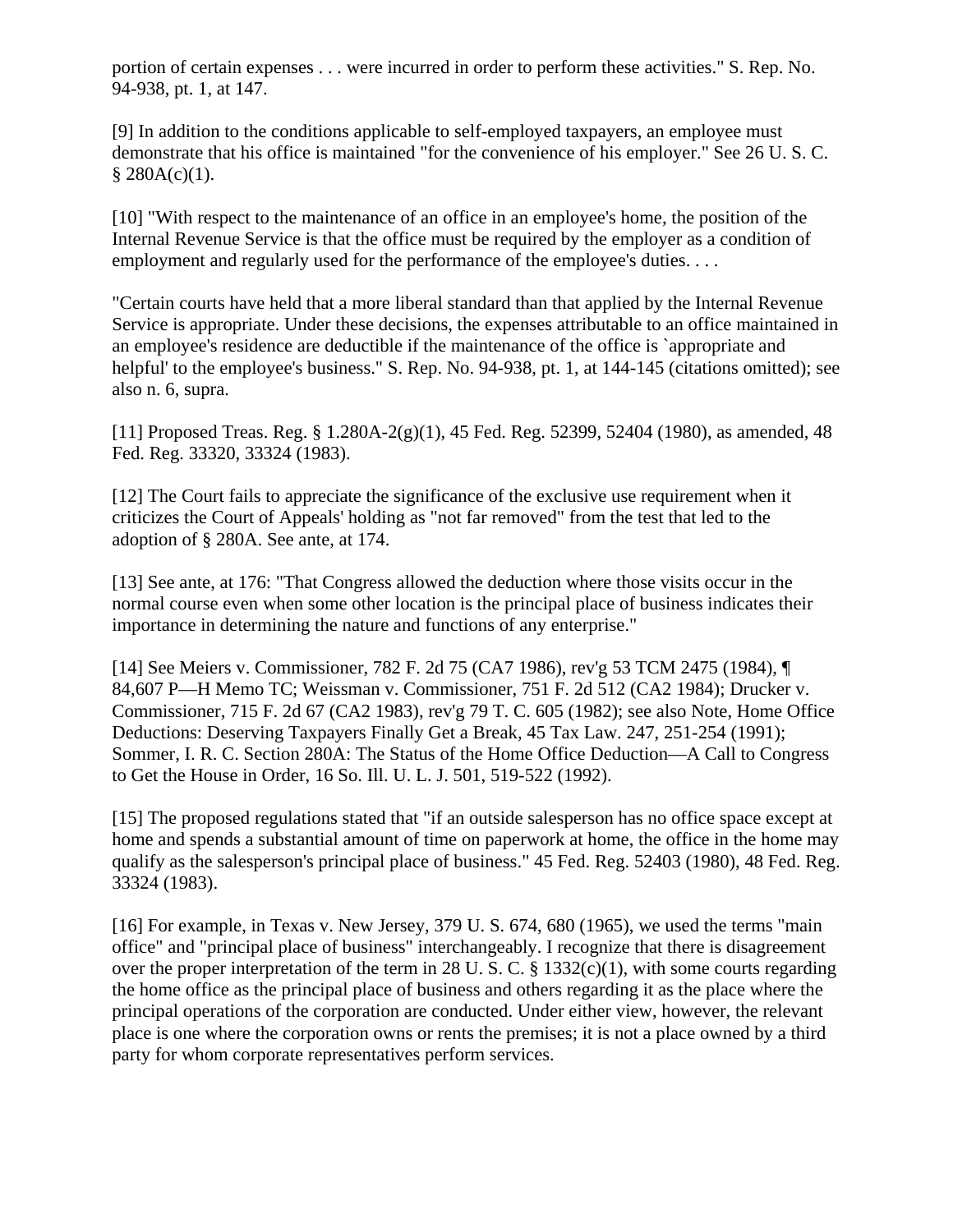portion of certain expenses . . . were incurred in order to perform these activities." S. Rep. No. 94-938, pt. 1, at 147.

[9] In addition to the conditions applicable to self-employed taxpayers, an employee must demonstrate that his office is maintained "for the convenience of his employer." See 26 U. S. C.  $§ 280A(c)(1).$ 

[10] "With respect to the maintenance of an office in an employee's home, the position of the Internal Revenue Service is that the office must be required by the employer as a condition of employment and regularly used for the performance of the employee's duties. . . .

"Certain courts have held that a more liberal standard than that applied by the Internal Revenue Service is appropriate. Under these decisions, the expenses attributable to an office maintained in an employee's residence are deductible if the maintenance of the office is `appropriate and helpful' to the employee's business." S. Rep. No. 94-938, pt. 1, at 144-145 (citations omitted); see also n. 6, supra.

[11] Proposed Treas. Reg. § 1.280A-2(g)(1), 45 Fed. Reg. 52399, 52404 (1980), as amended, 48 Fed. Reg. 33320, 33324 (1983).

[12] The Court fails to appreciate the significance of the exclusive use requirement when it criticizes the Court of Appeals' holding as "not far removed" from the test that led to the adoption of § 280A. See ante, at 174.

[13] See ante, at 176: "That Congress allowed the deduction where those visits occur in the normal course even when some other location is the principal place of business indicates their importance in determining the nature and functions of any enterprise."

[14] See Meiers v. Commissioner, 782 F. 2d 75 (CA7 1986), rev'g 53 TCM 2475 (1984), ¶ 84,607 P—H Memo TC; Weissman v. Commissioner, 751 F. 2d 512 (CA2 1984); Drucker v. Commissioner, 715 F. 2d 67 (CA2 1983), rev'g 79 T. C. 605 (1982); see also Note, Home Office Deductions: Deserving Taxpayers Finally Get a Break, 45 Tax Law. 247, 251-254 (1991); Sommer, I. R. C. Section 280A: The Status of the Home Office Deduction—A Call to Congress to Get the House in Order, 16 So. Ill. U. L. J. 501, 519-522 (1992).

[15] The proposed regulations stated that "if an outside salesperson has no office space except at home and spends a substantial amount of time on paperwork at home, the office in the home may qualify as the salesperson's principal place of business." 45 Fed. Reg. 52403 (1980), 48 Fed. Reg. 33324 (1983).

[16] For example, in Texas v. New Jersey, 379 U. S. 674, 680 (1965), we used the terms "main office" and "principal place of business" interchangeably. I recognize that there is disagreement over the proper interpretation of the term in 28 U. S. C. § 1332(c)(1), with some courts regarding the home office as the principal place of business and others regarding it as the place where the principal operations of the corporation are conducted. Under either view, however, the relevant place is one where the corporation owns or rents the premises; it is not a place owned by a third party for whom corporate representatives perform services.